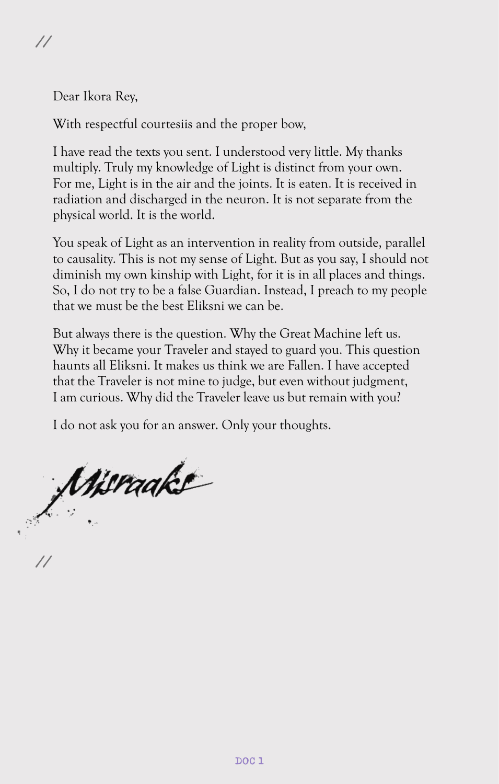Dear Ikora Rey,

With respectful courtesiis and the proper bow,

I have read the texts you sent. I understood very little. My thanks multiply. Truly my knowledge of Light is distinct from your own. For me, Light is in the air and the joints. It is eaten. It is received in radiation and discharged in the neuron. It is not separate from the physical world. It is the world.

You speak of Light as an intervention in reality from outside, parallel to causality. This is not my sense of Light. But as you say, I should not diminish my own kinship with Light, for it is in all places and things. So, I do not try to be a false Guardian. Instead, I preach to my people that we must be the best Eliksni we can be.

But always there is the question. Why the Great Machine left us. Why it became your Traveler and stayed to guard you. This question haunts all Eliksni. It makes us think we are Fallen. I have accepted that the Traveler is not mine to judge, but even without judgment, I am curious. Why did the Traveler leave us but remain with you?

I do not ask you for an answer. Only your thoughts.

Wiraakt

**//**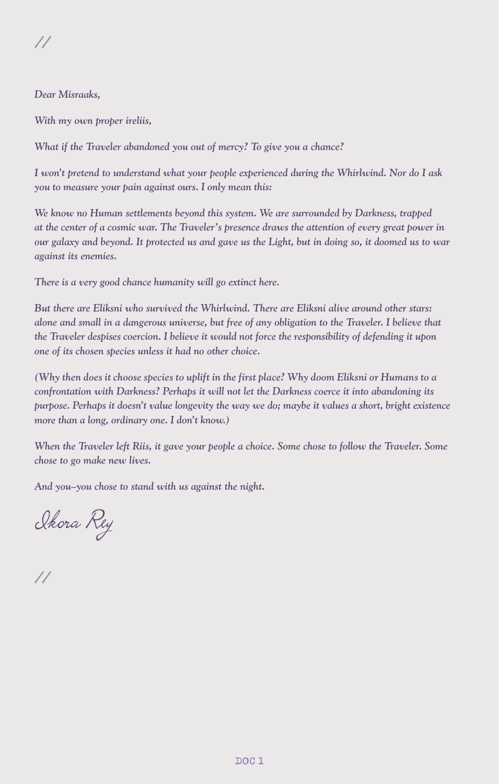#### *Dear Misraaks,*

*With my own proper ireliis,*

*What if the Traveler abandoned you out of mercy? To give you a chance?*

*I won't pretend to understand what your people experienced during the Whirlwind. Nor do I ask you to measure your pain against ours. I only mean this:*

*We know no Human settlements beyond this system. We are surrounded by Darkness, trapped at the center of a cosmic war. The Traveler's presence draws the attention of every great power in our galaxy and beyond. It protected us and gave us the Light, but in doing so, it doomed us to war against its enemies.*

*There is a very good chance humanity will go extinct here.*

*But there are Eliksni who survived the Whirlwind. There are Eliksni alive around other stars: alone and small in a dangerous universe, but free of any obligation to the Traveler. I believe that the Traveler despises coercion. I believe it would not force the responsibility of defending it upon one of its chosen species unless it had no other choice.*

*(Why then does it choose species to uplift in the first place? Why doom Eliksni or Humans to a confrontation with Darkness? Perhaps it will not let the Darkness coerce it into abandoning its purpose. Perhaps it doesn't value longevity the way we do; maybe it values a short, bright existence more than a long, ordinary one. I don't know.)*

*When the Traveler left Riis, it gave your people a choice. Some chose to follow the Traveler. Some chose to go make new lives.*

*And you–you chose to stand with us against the night.*

Ikora Rey

**//**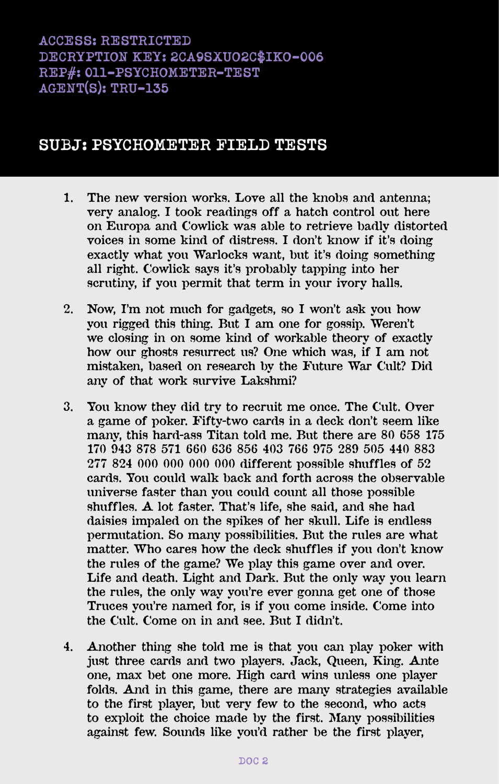# **SUBJ: PSYCHOMETER FIELD TESTS**

- **1. The new version works. Love all the knobs and antenna; very analog. I took readings off a hatch control out here on Europa and Cowlick was able to retrieve badly distorted voices in some kind of distress. I don't know if it's doing exactly what you Warlocks want, but it's doing something all right. Cowlick says it's probably tapping into her scrutiny, if you permit that term in your ivory halls.**
- **2. Now, I'm not much for gadgets, so I won't ask you how you rigged this thing. But I am one for gossip. Weren't we closing in on some kind of workable theory of exactly how our ghosts resurrect us? One which was, if I am not mistaken, based on research by the Future War Cult? Did any of that work survive Lakshmi?**
- **3. You know they did try to recruit me once. The Cult. Over a game of poker. Fifty-two cards in a deck don't seem like many, this hard-ass Titan told me. But there are 80 658 175 170 943 878 571 660 636 856 403 766 975 289 505 440 883 277 824 000 000 000 000 different possible shuffles of 52 cards. You could walk back and forth across the observable universe faster than you could count all those possible shuffles. A lot faster. That's life, she said, and she had daisies impaled on the spikes of her skull. Life is endless permutation. So many possibilities. But the rules are what matter. Who cares how the deck shuffles if you don't know the rules of the game? We play this game over and over. Life and death. Light and Dark. But the only way you learn the rules, the only way you're ever gonna get one of those Truces you're named for, is if you come inside. Come into the Cult. Come on in and see. But I didn't.**
- **4. Another thing she told me is that you can play poker with just three cards and two players. Jack, Queen, King. Ante one, max bet one more. High card wins unless one player folds. And in this game, there are many strategies available to the first player, but very few to the second, who acts to exploit the choice made by the first. Many possibilities against few. Sounds like you'd rather be the first player,**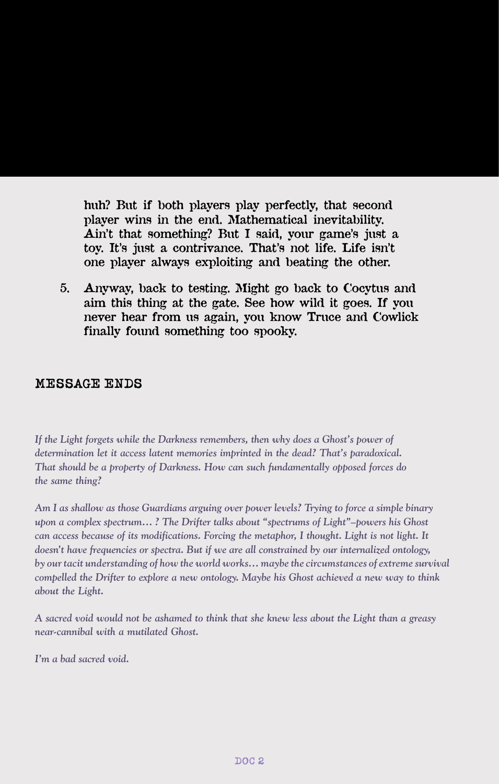**huh? But if both players play perfectly, that second player wins in the end. Mathematical inevitability. Ain't that something? But I said, your game's just a toy. It's just a contrivance. That's not life. Life isn't one player always exploiting and beating the other.**

**5. Anyway, back to testing. Might go back to Cocytus and aim this thing at the gate. See how wild it goes. If you never hear from us again, you know Truce and Cowlick finally found something too spooky.**

#### **MESSAGE ENDS**

*If the Light forgets while the Darkness remembers, then why does a Ghost's power of determination let it access latent memories imprinted in the dead? That's paradoxical. That should be a property of Darkness. How can such fundamentally opposed forces do the same thing?*

*Am I as shallow as those Guardians arguing over power levels? Trying to force a simple binary upon a complex spectrum… ? The Drifter talks about "spectrums of Light"–powers his Ghost can access because of its modifications. Forcing the metaphor, I thought. Light is not light. It doesn't have frequencies or spectra. But if we are all constrained by our internalized ontology, by our tacit understanding of how the world works… maybe the circumstances of extreme survival compelled the Drifter to explore a new ontology. Maybe his Ghost achieved a new way to think about the Light.*

*A sacred void would not be ashamed to think that she knew less about the Light than a greasy near-cannibal with a mutilated Ghost.*

*I'm a bad sacred void.*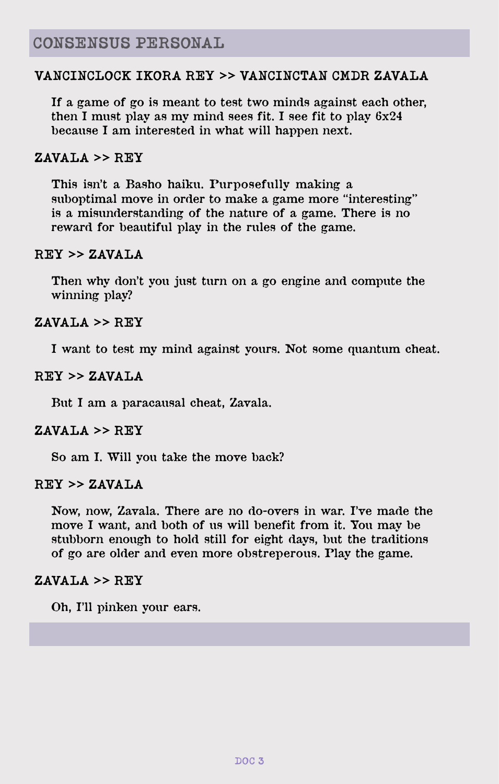### **VANCINCLOCK IKORA REY** >> **VANCINCTAN CMDR ZAVALA**

**If a game of go is meant to test two minds against each other, then I must play as my mind sees fit. I see fit to play 6x24 because I am interested in what will happen next.**

### **ZAVALA** >> **REY**

**This isn't a Basho haiku. Purposefully making a suboptimal move in order to make a game more "interesting" is a misunderstanding of the nature of a game. There is no reward for beautiful play in the rules of the game.**

#### **REY** >> **ZAVALA**

**Then why don't you just turn on a go engine and compute the winning play?**

### **ZAVALA** >> **REY**

**I want to test my mind against yours. Not some quantum cheat.**

### **REY** >> **ZAVALA**

**But I am a paracausal cheat, Zavala.**

#### $ZAVAT.A \geq R$  $RY$

**So am I. Will you take the move back?**

### **REY** >> **ZAVALA**

**Now, now, Zavala. There are no do-overs in war. I've made the move I want, and both of us will benefit from it. You may be stubborn enough to hold still for eight days, but the traditions of go are older and even more obstreperous. Play the game.**

#### $ZAVAT.A \geq R$  $RY$

**Oh, I'll pinken your ears.**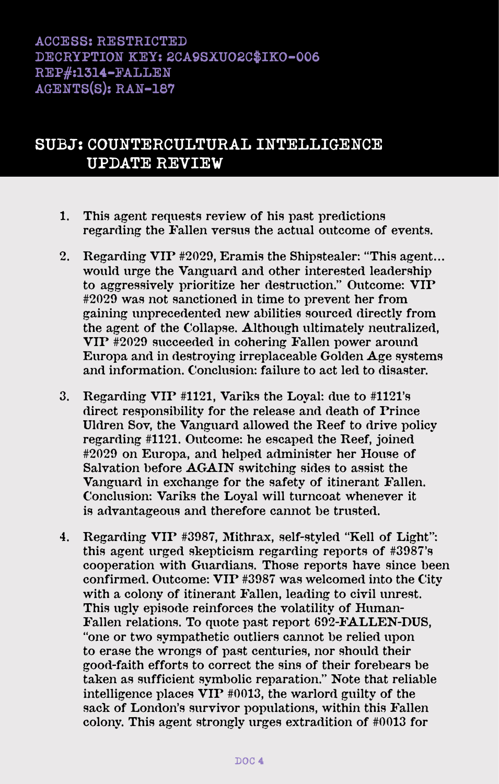# **ACCESS: RESTRICTED DECRYPTION KEY: 2CA9SXUO2C\$IKO-006 REP#:1314-FALLEN AGENTS(S): RAN-187**

# **SUBJ: COUNTERCULTURAL INTELLIGENCE UPDATE REVIEW**

- **1. This agent requests review of his past predictions regarding the Fallen versus the actual outcome of events.**
- **2. Regarding VIP #2029, Eramis the Shipstealer: "This agent… would urge the Vanguard and other interested leadership to aggressively prioritize her destruction." Outcome: VIP #2029 was not sanctioned in time to prevent her from gaining unprecedented new abilities sourced directly from the agent of the Collapse. Although ultimately neutralized, VIP #2029 succeeded in cohering Fallen power around Europa and in destroying irreplaceable Golden Age systems and information. Conclusion: failure to act led to disaster.**
- **3. Regarding VIP #1121, Variks the Loyal: due to #1121's direct responsibility for the release and death of Prince Uldren Sov, the Vanguard allowed the Reef to drive policy regarding #1121. Outcome: he escaped the Reef, joined #2029 on Europa, and helped administer her House of Salvation before AGAIN switching sides to assist the Vanguard in exchange for the safety of itinerant Fallen. Conclusion: Variks the Loyal will turncoat whenever it is advantageous and therefore cannot be trusted.**
- **4. Regarding VIP #3987, Mithrax, self-styled "Kell of Light": this agent urged skepticism regarding reports of #3987's cooperation with Guardians. Those reports have since been confirmed. Outcome: VIP #3987 was welcomed into the City with a colony of itinerant Fallen, leading to civil unrest. This ugly episode reinforces the volatility of Human-Fallen relations. To quote past report 692-FALLEN-DUS, "one or two sympathetic outliers cannot be relied upon to erase the wrongs of past centuries, nor should their good-faith efforts to correct the sins of their forebears be taken as sufficient symbolic reparation." Note that reliable intelligence places VIP #0013, the warlord guilty of the sack of London's survivor populations, within this Fallen colony. This agent strongly urges extradition of #0013 for**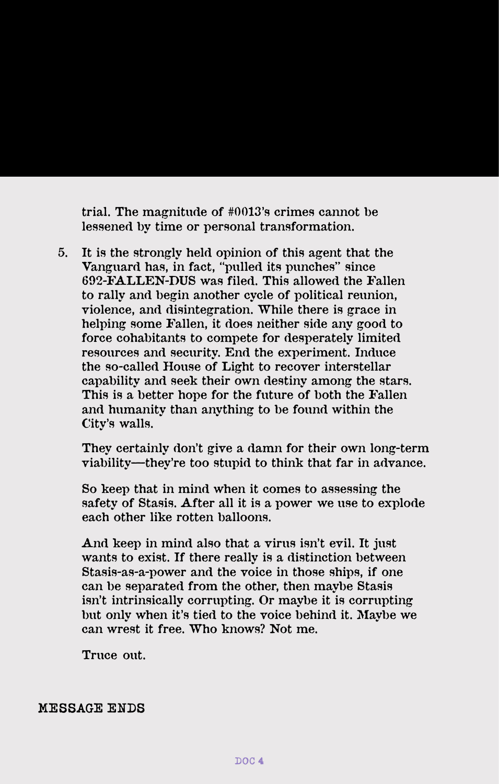**trial. The magnitude of #0013's crimes cannot be lessened by time or personal transformation.**

**5. It is the strongly held opinion of this agent that the Vanguard has, in fact, "pulled its punches" since 692-FALLEN-DUS was filed. This allowed the Fallen to rally and begin another cycle of political reunion, violence, and disintegration. While there is grace in helping some Fallen, it does neither side any good to force cohabitants to compete for desperately limited resources and security. End the experiment. Induce the so-called House of Light to recover interstellar capability and seek their own destiny among the stars. This is a better hope for the future of both the Fallen and humanity than anything to be found within the City's walls.**

**They certainly don't give a damn for their own long-term viability—they're too stupid to think that far in advance.**

**So keep that in mind when it comes to assessing the safety of Stasis. After all it is a power we use to explode each other like rotten balloons.**

**And keep in mind also that a virus isn't evil. It just wants to exist. If there really is a distinction between Stasis-as-a-power and the voice in those ships, if one can be separated from the other, then maybe Stasis isn't intrinsically corrupting. Or maybe it is corrupting but only when it's tied to the voice behind it. Maybe we can wrest it free. Who knows? Not me.**

**Truce out.**

**MESSAGE ENDS**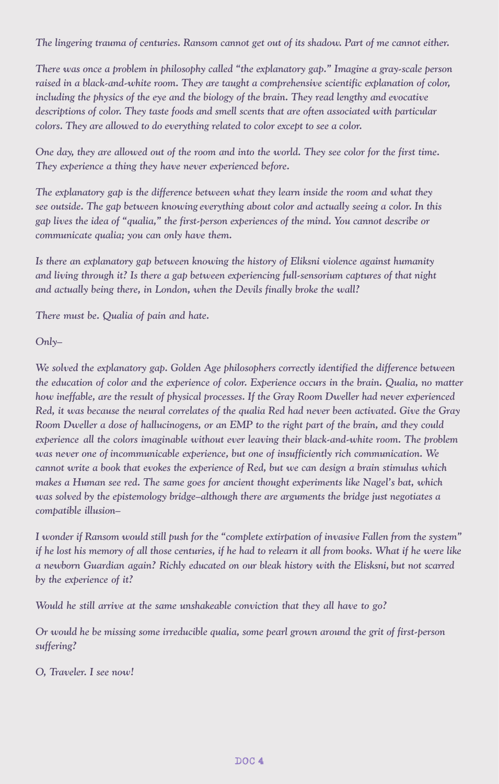*The lingering trauma of centuries. Ransom cannot get out of its shadow. Part of me cannot either.*

*There was once a problem in philosophy called "the explanatory gap." Imagine a gray-scale person raised in a black-and-white room. They are taught a comprehensive scientific explanation of color, including the physics of the eye and the biology of the brain. They read lengthy and evocative descriptions of color. They taste foods and smell scents that are often associated with particular colors. They are allowed to do everything related to color except to see a color.*

*One day, they are allowed out of the room and into the world. They see color for the first time. They experience a thing they have never experienced before.*

*The explanatory gap is the difference between what they learn inside the room and what they see outside. The gap between knowing everything about color and actually seeing a color. In this gap lives the idea of "qualia," the first-person experiences of the mind. You cannot describe or communicate qualia; you can only have them.* 

*Is there an explanatory gap between knowing the history of Eliksni violence against humanity and living through it? Is there a gap between experiencing full-sensorium captures of that night and actually being there, in London, when the Devils finally broke the wall?*

*There must be. Qualia of pain and hate.* 

#### *Only–*

*We solved the explanatory gap. Golden Age philosophers correctly identified the difference between the education of color and the experience of color. Experience occurs in the brain. Qualia, no matter how ineffable, are the result of physical processes. If the Gray Room Dweller had never experienced Red, it was because the neural correlates of the qualia Red had never been activated. Give the Gray Room Dweller a dose of hallucinogens, or an EMP to the right part of the brain, and they could experience all the colors imaginable without ever leaving their black-and-white room. The problem was never one of incommunicable experience, but one of insufficiently rich communication. We cannot write a book that evokes the experience of Red, but we can design a brain stimulus which makes a Human see red. The same goes for ancient thought experiments like Nagel's bat, which was solved by the epistemology bridge–although there are arguments the bridge just negotiates a compatible illusion–*

*I wonder if Ransom would still push for the "complete extirpation of invasive Fallen from the system" if he lost his memory of all those centuries, if he had to relearn it all from books. What if he were like a newborn Guardian again? Richly educated on our bleak history with the Elisksni, but not scarred by the experience of it?*

*Would he still arrive at the same unshakeable conviction that they all have to go?*

*Or would he be missing some irreducible qualia, some pearl grown around the grit of first-person suffering?*

*O, Traveler. I see now!*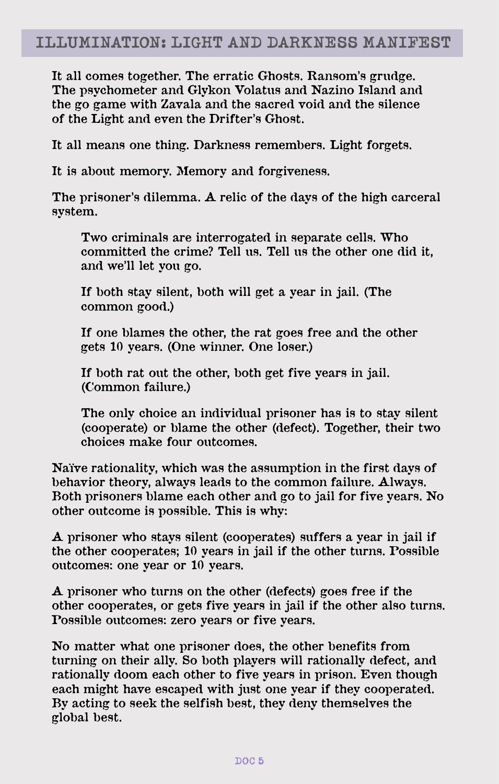**It all comes together. The erratic Ghosts. Ransom's grudge. The psychometer and Glykon Volatus and Nazino Island and the go game with Zavala and the sacred void and the silence of the Light and even the Drifter's Ghost.** 

**It all means one thing. Darkness remembers. Light forgets.** 

**It is about memory. Memory and forgiveness.** 

**The prisoner's dilemma. A relic of the days of the high carceral system.** 

**Two criminals are interrogated in separate cells. Who committed the crime? Tell us. Tell us the other one did it, and we'll let you go.**

**If both stay silent, both will get a year in jail. (The common good.)**

**If one blames the other, the rat goes free and the other gets 10 years. (One winner. One loser.)**

**If both rat out the other, both get five years in jail. (Common failure.)**

**The only choice an individual prisoner has is to stay silent (cooperate) or blame the other (defect). Together, their two choices make four outcomes.**

**Naïve rationality, which was the assumption in the first days of behavior theory, always leads to the common failure. Always. Both prisoners blame each other and go to jail for five years. No other outcome is possible. This is why:**

**A prisoner who stays silent (cooperates) suffers a year in jail if the other cooperates; 10 years in jail if the other turns. Possible outcomes: one year or 10 years.**

**A prisoner who turns on the other (defects) goes free if the other cooperates, or gets five years in jail if the other also turns. Possible outcomes: zero years or five years.** 

**No matter what one prisoner does, the other benefits from turning on their ally. So both players will rationally defect, and rationally doom each other to five years in prison. Even though each might have escaped with just one year if they cooperated. By acting to seek the selfish best, they deny themselves the global best.**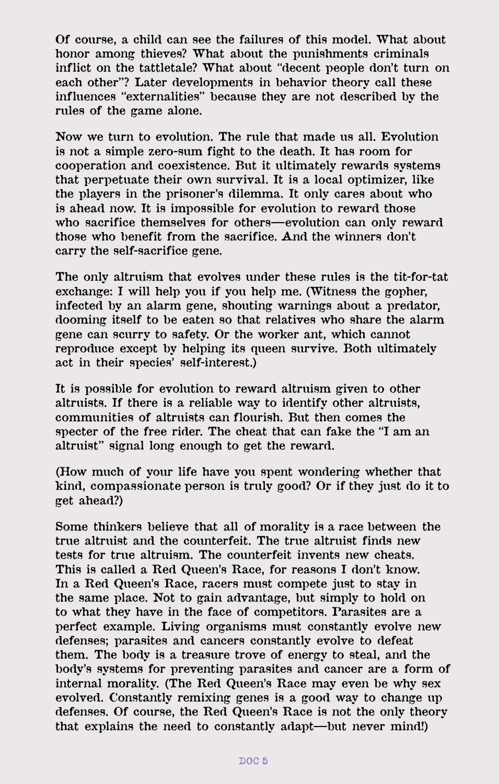**Of course, a child can see the failures of this model. What about honor among thieves? What about the punishments criminals inflict on the tattletale? What about "decent people don't turn on each other"? Later developments in behavior theory call these influences "externalities" because they are not described by the rules of the game alone.**

**Now we turn to evolution. The rule that made us all. Evolution is not a simple zero-sum fight to the death. It has room for cooperation and coexistence. But it ultimately rewards systems that perpetuate their own survival. It is a local optimizer, like the players in the prisoner's dilemma. It only cares about who is ahead now. It is impossible for evolution to reward those who sacrifice themselves for others—evolution can only reward those who benefit from the sacrifice. And the winners don't carry the self-sacrifice gene.**

**The only altruism that evolves under these rules is the tit-for-tat exchange: I will help you if you help me. (Witness the gopher, infected by an alarm gene, shouting warnings about a predator, dooming itself to be eaten so that relatives who share the alarm gene can scurry to safety. Or the worker ant, which cannot reproduce except by helping its queen survive. Both ultimately act in their species' self-interest.)**

**It is possible for evolution to reward altruism given to other altruists. If there is a reliable way to identify other altruists, communities of altruists can flourish. But then comes the specter of the free rider. The cheat that can fake the "I am an altruist" signal long enough to get the reward.**

**(How much of your life have you spent wondering whether that kind, compassionate person is truly good? Or if they just do it to get ahead?)**

**Some thinkers believe that all of morality is a race between the true altruist and the counterfeit. The true altruist finds new tests for true altruism. The counterfeit invents new cheats. This is called a Red Queen's Race, for reasons I don't know. In a Red Queen's Race, racers must compete just to stay in the same place. Not to gain advantage, but simply to hold on to what they have in the face of competitors. Parasites are a perfect example. Living organisms must constantly evolve new defenses; parasites and cancers constantly evolve to defeat them. The body is a treasure trove of energy to steal, and the body's systems for preventing parasites and cancer are a form of internal morality. (The Red Queen's Race may even be why sex evolved. Constantly remixing genes is a good way to change up defenses. Of course, the Red Queen's Race is not the only theory that explains the need to constantly adapt—but never mind!)**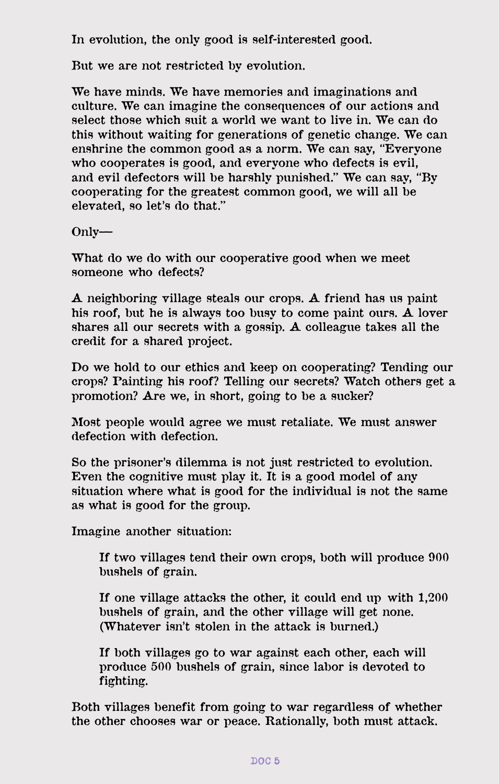**In evolution, the only good is self-interested good.**

**But we are not restricted by evolution.**

**We have minds. We have memories and imaginations and culture. We can imagine the consequences of our actions and select those which suit a world we want to live in. We can do this without waiting for generations of genetic change. We can enshrine the common good as a norm. We can say, "Everyone who cooperates is good, and everyone who defects is evil, and evil defectors will be harshly punished." We can say, "By cooperating for the greatest common good, we will all be elevated, so let's do that."**

**Only—**

**What do we do with our cooperative good when we meet someone who defects?**

**A neighboring village steals our crops. A friend has us paint his roof, but he is always too busy to come paint ours. A lover shares all our secrets with a gossip. A colleague takes all the credit for a shared project.**

**Do we hold to our ethics and keep on cooperating? Tending our crops? Painting his roof? Telling our secrets? Watch others get a promotion? Are we, in short, going to be a sucker?**

**Most people would agree we must retaliate. We must answer defection with defection.**

**So the prisoner's dilemma is not just restricted to evolution. Even the cognitive must play it. It is a good model of any situation where what is good for the individual is not the same as what is good for the group.**

**Imagine another situation:**

**If two villages tend their own crops, both will produce 900 bushels of grain.**

**If one village attacks the other, it could end up with 1,200 bushels of grain, and the other village will get none. (Whatever isn't stolen in the attack is burned.)**

**If both villages go to war against each other, each will produce 500 bushels of grain, since labor is devoted to fighting.**

**Both villages benefit from going to war regardless of whether the other chooses war or peace. Rationally, both must attack.**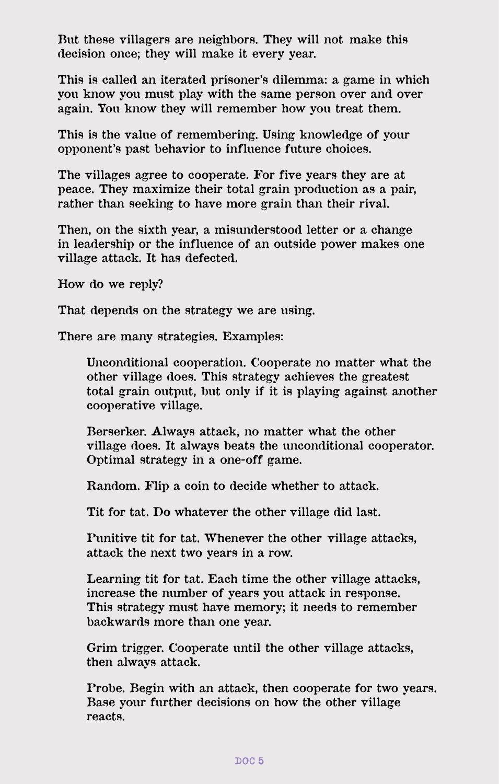**But these villagers are neighbors. They will not make this decision once; they will make it every year.**

**This is called an iterated prisoner's dilemma: a game in which you know you must play with the same person over and over again. You know they will remember how you treat them.**

**This is the value of remembering. Using knowledge of your opponent's past behavior to influence future choices.**

**The villages agree to cooperate. For five years they are at peace. They maximize their total grain production as a pair, rather than seeking to have more grain than their rival.**

**Then, on the sixth year, a misunderstood letter or a change in leadership or the influence of an outside power makes one village attack. It has defected.**

**How do we reply?**

**That depends on the strategy we are using.**

**There are many strategies. Examples:**

**Unconditional cooperation. Cooperate no matter what the other village does. This strategy achieves the greatest total grain output, but only if it is playing against another cooperative village.**

**Berserker. Always attack, no matter what the other village does. It always beats the unconditional cooperator. Optimal strategy in a one-off game.**

**Random. Flip a coin to decide whether to attack.**

**Tit for tat. Do whatever the other village did last.**

**Punitive tit for tat. Whenever the other village attacks, attack the next two years in a row.**

**Learning tit for tat. Each time the other village attacks, increase the number of years you attack in response. This strategy must have memory; it needs to remember backwards more than one year.**

**Grim trigger. Cooperate until the other village attacks, then always attack.**

**Probe. Begin with an attack, then cooperate for two years. Base your further decisions on how the other village reacts.**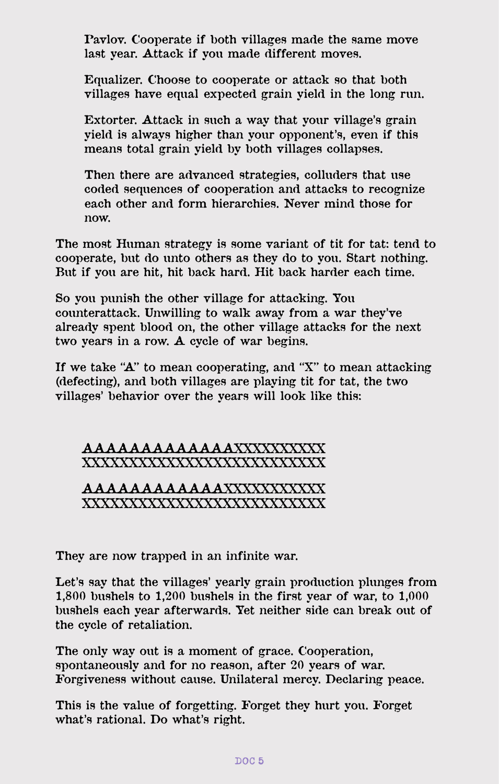**Pavlov. Cooperate if both villages made the same move last year. Attack if you made different moves.**

**Equalizer. Choose to cooperate or attack so that both villages have equal expected grain yield in the long run.**

**Extorter. Attack in such a way that your village's grain yield is always higher than your opponent's, even if this means total grain yield by both villages collapses.**

**Then there are advanced strategies, colluders that use coded sequences of cooperation and attacks to recognize each other and form hierarchies. Never mind those for now.**

**The most Human strategy is some variant of tit for tat: tend to cooperate, but do unto others as they do to you. Start nothing. But if you are hit, hit back hard. Hit back harder each time.**

**So you punish the other village for attacking. You counterattack. Unwilling to walk away from a war they've already spent blood on, the other village attacks for the next two years in a row. A cycle of war begins.**

**If we take "A" to mean cooperating, and "X" to mean attacking (defecting), and both villages are playing tit for tat, the two villages' behavior over the years will look like this:**

#### **AAAAAAAAAAAAAXXXXXXXXXX XXXXXXXXXXXXXXXXXXXXXXXXXX**

### **AAAAAAAAAAAAXXXXXXXXXXX XXXXXXXXXXXXXXXXXXXXXXXXXX**

**They are now trapped in an infinite war.**

**Let's say that the villages' yearly grain production plunges from 1,800 bushels to 1,200 bushels in the first year of war, to 1,000 bushels each year afterwards. Yet neither side can break out of the cycle of retaliation.**

**The only way out is a moment of grace. Cooperation, spontaneously and for no reason, after 20 years of war. Forgiveness without cause. Unilateral mercy. Declaring peace.**

**This is the value of forgetting. Forget they hurt you. Forget what's rational. Do what's right.**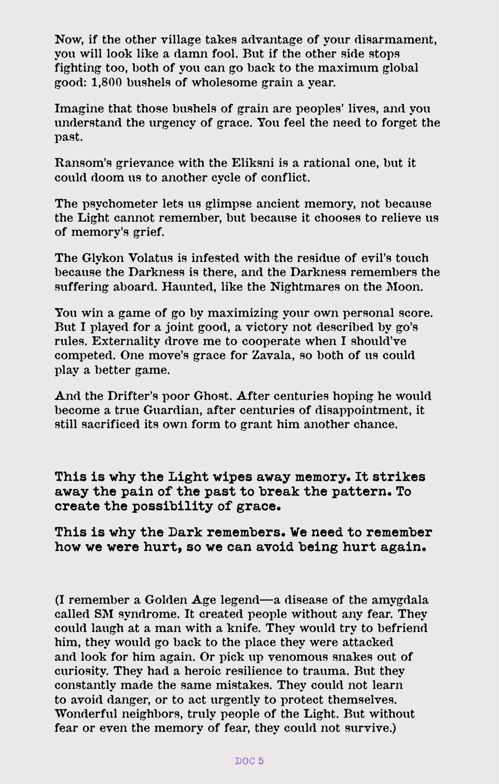**Now, if the other village takes advantage of your disarmament, you will look like a damn fool. But if the other side stops fighting too, both of you can go back to the maximum global good: 1,800 bushels of wholesome grain a year.**

**Imagine that those bushels of grain are peoples' lives, and you understand the urgency of grace. You feel the need to forget the past.**

**Ransom's grievance with the Eliksni is a rational one, but it could doom us to another cycle of conflict.**

**The psychometer lets us glimpse ancient memory, not because the Light cannot remember, but because it chooses to relieve us of memory's grief.**

**The Glykon Volatus is infested with the residue of evil's touch because the Darkness is there, and the Darkness remembers the suffering aboard. Haunted, like the Nightmares on the Moon.**

**You win a game of go by maximizing your own personal score. But I played for a joint good, a victory not described by go's rules. Externality drove me to cooperate when I should've competed. One move's grace for Zavala, so both of us could play a better game.**

**And the Drifter's poor Ghost. After centuries hoping he would become a true Guardian, after centuries of disappointment, it still sacrificed its own form to grant him another chance.**

**This is why the Light wipes away memory. It strikes away the pain of the past to break the pattern. To create the possibility of grace.**

**This is why the Dark remembers. We need to remember how we were hurt, so we can avoid being hurt again.**

**(I remember a Golden Age legend—a disease of the amygdala called SM syndrome. It created people without any fear. They could laugh at a man with a knife. They would try to befriend him, they would go back to the place they were attacked and look for him again. Or pick up venomous snakes out of curiosity. They had a heroic resilience to trauma. But they constantly made the same mistakes. They could not learn to avoid danger, or to act urgently to protect themselves. Wonderful neighbors, truly people of the Light. But without fear or even the memory of fear, they could not survive.)**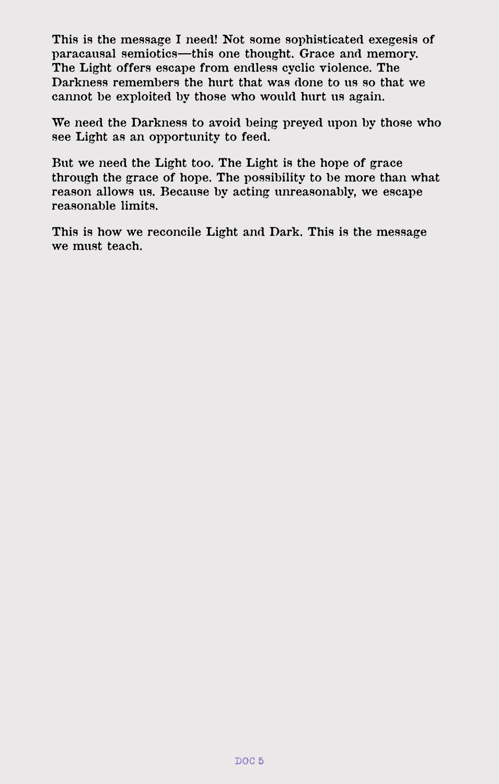**This is the message I need! Not some sophisticated exegesis of paracausal semiotics—this one thought. Grace and memory. The Light offers escape from endless cyclic violence. The Darkness remembers the hurt that was done to us so that we cannot be exploited by those who would hurt us again.**

**We need the Darkness to avoid being preyed upon by those who see Light as an opportunity to feed.** 

**But we need the Light too. The Light is the hope of grace through the grace of hope. The possibility to be more than what reason allows us. Because by acting unreasonably, we escape reasonable limits.**

**This is how we reconcile Light and Dark. This is the message we must teach.**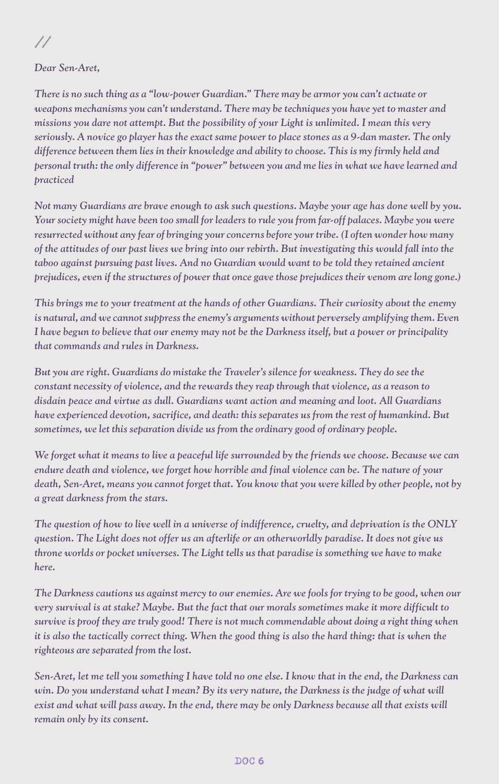**//** 

*Dear Sen-Aret,*

*There is no such thing as a "low-power Guardian." There may be armor you can't actuate or weapons mechanisms you can't understand. There may be techniques you have yet to master and missions you dare not attempt. But the possibility of your Light is unlimited. I mean this very seriously. A novice go player has the exact same power to place stones as a 9-dan master. The only difference between them lies in their knowledge and ability to choose. This is my firmly held and personal truth: the only difference in "power" between you and me lies in what we have learned and practiced*

*Not many Guardians are brave enough to ask such questions. Maybe your age has done well by you. Your society might have been too small for leaders to rule you from far-off palaces. Maybe you were resurrected without any fear of bringing your concerns before your tribe. (I often wonder how many of the attitudes of our past lives we bring into our rebirth. But investigating this would fall into the taboo against pursuing past lives. And no Guardian would want to be told they retained ancient prejudices, even if the structures of power that once gave those prejudices their venom are long gone.)*

*This brings me to your treatment at the hands of other Guardians. Their curiosity about the enemy*  is natural, and we cannot suppress the enemy's arguments without perversely amplifying them. Even *I have begun to believe that our enemy may not be the Darkness itself, but a power or principality that commands and rules in Darkness.* 

*But you are right. Guardians do mistake the Traveler's silence for weakness. They do see the constant necessity of violence, and the rewards they reap through that violence, as a reason to disdain peace and virtue as dull. Guardians want action and meaning and loot. All Guardians have experienced devotion, sacrifice, and death: this separates us from the rest of humankind. But sometimes, we let this separation divide us from the ordinary good of ordinary people.*

*We forget what it means to live a peaceful life surrounded by the friends we choose. Because we can endure death and violence, we forget how horrible and final violence can be. The nature of your death, Sen-Aret, means you cannot forget that. You know that you were killed by other people, not by a great darkness from the stars.*

*The question of how to live well in a universe of indifference, cruelty, and deprivation is the ONLY question. The Light does not offer us an afterlife or an otherworldly paradise. It does not give us throne worlds or pocket universes. The Light tells us that paradise is something we have to make here.*

*The Darkness cautions us against mercy to our enemies. Are we fools for trying to be good, when our very survival is at stake? Maybe. But the fact that our morals sometimes make it more difficult to survive is proof they are truly good! There is not much commendable about doing a right thing when it is also the tactically correct thing. When the good thing is also the hard thing: that is when the righteous are separated from the lost.*

*Sen-Aret, let me tell you something I have told no one else. I know that in the end, the Darkness can*  win. Do you understand what I mean? By its very nature, the Darkness is the judge of what will *exist and what will pass away. In the end, there may be only Darkness because all that exists will remain only by its consent.*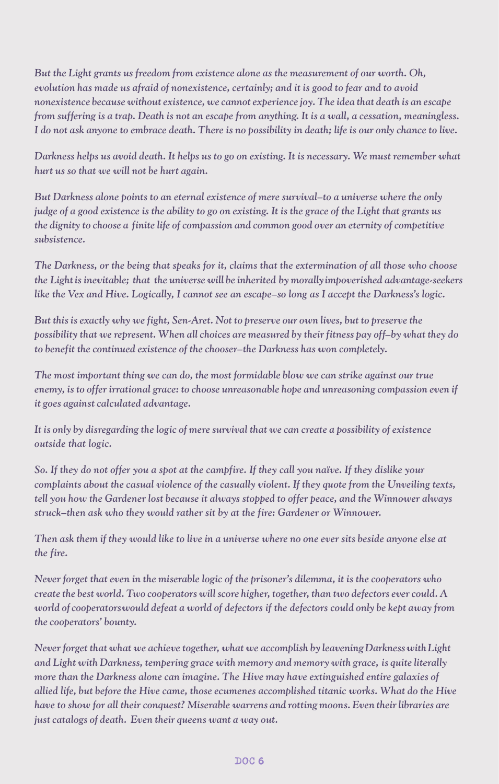*But the Light grants us freedom from existence alone as the measurement of our worth. Oh, evolution has made us afraid of nonexistence, certainly; and it is good to fear and to avoid nonexistence because without existence, we cannot experience joy. The idea that death is an escape from suffering is a trap. Death is not an escape from anything. It is a wall, a cessation, meaningless. I do not ask anyone to embrace death. There is no possibility in death; life is our only chance to live.*

*Darkness helps us avoid death. It helps us to go on existing. It is necessary. We must remember what hurt us so that we will not be hurt again.*

*But Darkness alone points to an eternal existence of mere survival–to a universe where the only judge of a good existence is the ability to go on existing. It is the grace of the Light that grants us the dignity to choose a finite life of compassion and common good over an eternity of competitive subsistence.*

*The Darkness, or the being that speaks for it, claims that the extermination of all those who choose the Light is inevitable; that the universe will be inherited by morally impoverished advantage-seekers like the Vex and Hive. Logically, I cannot see an escape–so long as I accept the Darkness's logic.*

*But this is exactly why we fight, Sen-Aret. Not to preserve our own lives, but to preserve the possibility that we represent. When all choices are measured by their fitness pay off–by what they do to benefit the continued existence of the chooser–the Darkness has won completely.*

*The most important thing we can do, the most formidable blow we can strike against our true enemy, is to offer irrational grace: to choose unreasonable hope and unreasoning compassion even if it goes against calculated advantage.*

*It is only by disregarding the logic of mere survival that we can create a possibility of existence outside that logic.*

*So. If they do not offer you a spot at the campfire. If they call you naïve. If they dislike your complaints about the casual violence of the casually violent. If they quote from the Unveiling texts, tell you how the Gardener lost because it always stopped to offer peace, and the Winnower always struck–then ask who they would rather sit by at the fire: Gardener or Winnower.*

*Then ask them if they would like to live in a universe where no one ever sits beside anyone else at the fire.*

*Never forget that even in the miserable logic of the prisoner's dilemma, it is the cooperators who create the best world. Two cooperators will score higher, together, than two defectors ever could. A world of cooperators would defeat a world of defectors if the defectors could only be kept away from the cooperators' bounty.*

*Never forget that what we achieve together, what we accomplish by leavening Darkness with Light and Light with Darkness, tempering grace with memory and memory with grace, is quite literally more than the Darkness alone can imagine. The Hive may have extinguished entire galaxies of allied life, but before the Hive came, those ecumenes accomplished titanic works. What do the Hive have to show for all their conquest? Miserable warrens and rotting moons. Even their libraries are just catalogs of death. Even their queens want a way out.*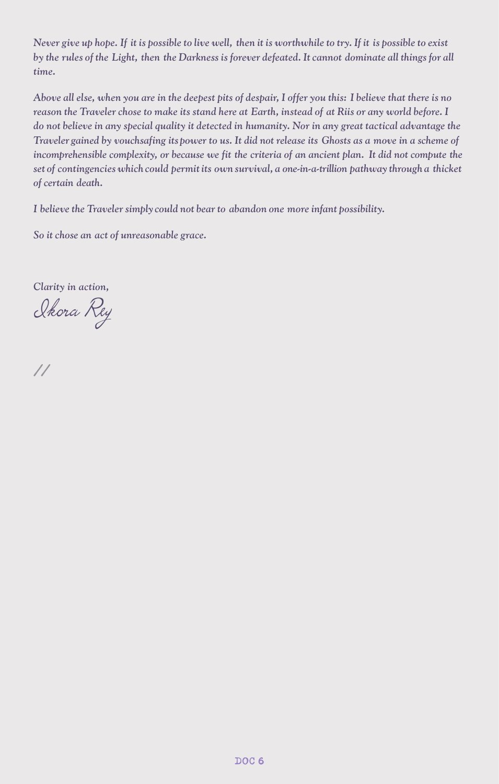*Never give up hope. If it is possible to live well, then it is worthwhile to try. If it is possible to exist*  by the rules of the Light, then the Darkness is forever defeated. It cannot dominate all things for all *time.*

*Above all else, when you are in the deepest pits of despair, I offer you this: I believe that there is no reason the Traveler chose to make its stand here at Earth, instead of at Riis or any world before. I do not believe in any special quality it detected in humanity. Nor in any great tactical advantage the Traveler gained by vouchsafing its power to us. It did not release its Ghosts as a move in a scheme of incomprehensible complexity, or because we fit the criteria of an ancient plan. It did not compute the set of contingencies which could permit its own survival, a one-in-a-trillion pathway through a thicket of certain death.*

*I believe the Traveler simply could not bear to abandon one more infant possibility.*

*So it chose an act of unreasonable grace.*

*Clarity in action,*

Ikora Rey

**//**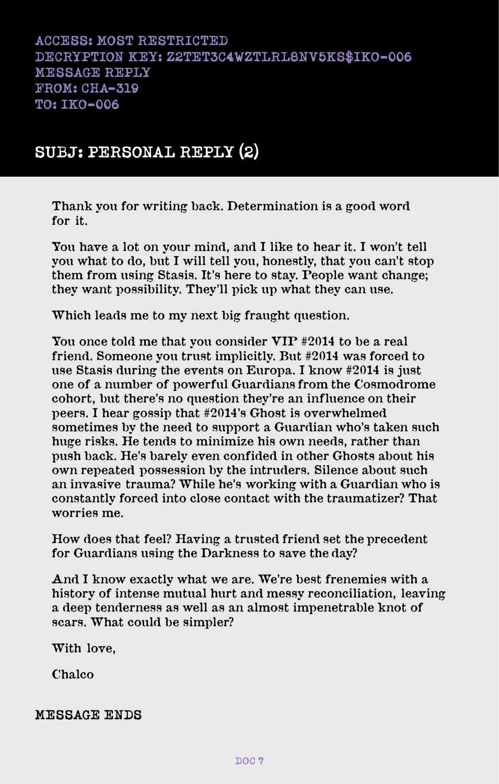# **SUBJ: PERSONAL REPLY (2)**

**Thank you for writing back. Determination is a good word for it.**

**You have a lot on your mind, and I like to hear it. I won't tell you what to do, but I will tell you, honestly, that you can't stop them from using Stasis. It's here to stay. People want change; they want possibility. They'll pick up what they can use.**

**Which leads me to my next big fraught question.**

**You once told me that you consider VIP #2014 to be a real friend. Someone you trust implicitly. But #2014 was forced to use Stasis during the events on Europa. I know #2014 is just one of a number of powerful Guardians from the Cosmodrome cohort, but there's no question they're an influence on their peers. I hear gossip that #2014's Ghost is overwhelmed sometimes by the need to support a Guardian who's taken such huge risks. He tends to minimize his own needs, rather than push back. He's barely even confided in other Ghosts about his own repeated possession by the intruders. Silence about such an invasive trauma? While he's working with a Guardian who is constantly forced into close contact with the traumatizer? That worries me.**

**How does that feel? Having a trusted friend set the precedent for Guardians using the Darkness to save the day?**

**And I know exactly what we are. We're best frenemies with a history of intense mutual hurt and messy reconciliation, leaving a deep tenderness as well as an almost impenetrable knot of scars. What could be simpler?**

**With love,**

**Chalco**

### **MESSAGE ENDS**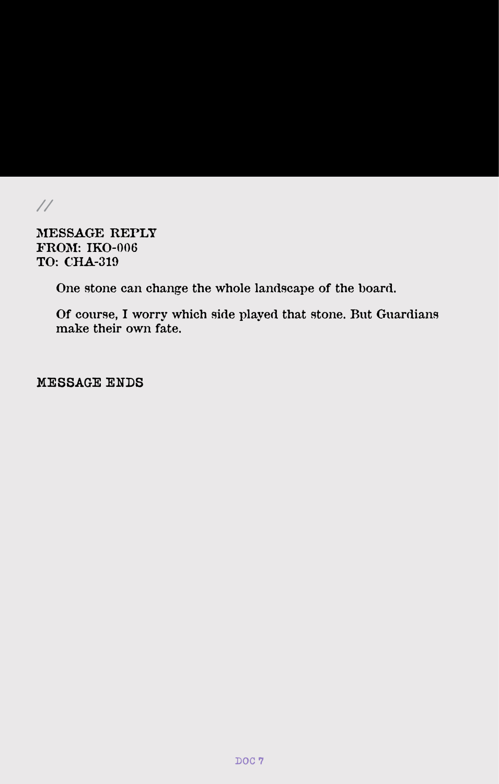**//**

**MESSAGE REPLY FROM: IKO-006 TO: CHA-319**

**One stone can change the whole landscape of the board.**

**Of course, I worry which side played that stone. But Guardians make their own fate.**

**MESSAGE ENDS**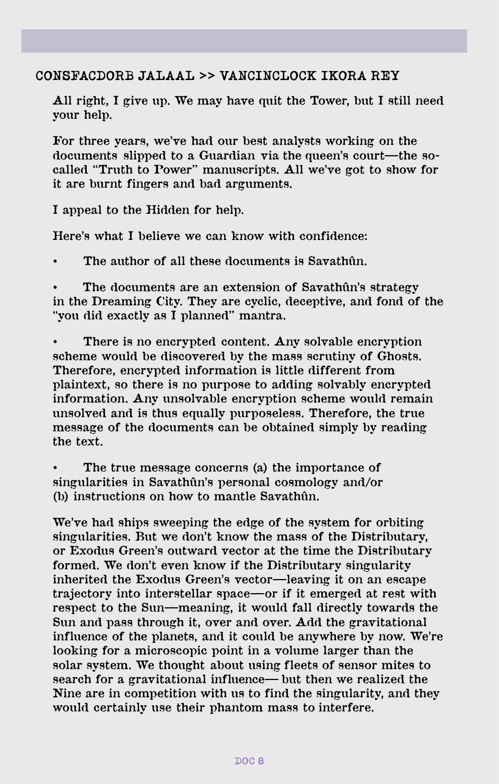### **CONSFACDORB JALAAL** >> **VANCINCLOCK IKORA REY**

**All right, I give up. We may have quit the Tower, but I still need your help.**

**For three years, we've had our best analysts working on the documents slipped to a Guardian via the queen's court—the socalled "Truth to Power" manuscripts. All we've got to show for it are burnt fingers and bad arguments.**

**I appeal to the Hidden for help.**

**Here's what I believe we can know with confidence:**

**The author of all these documents is Savathûn.** 

The documents are an extension of Savathûn's strategy **in the Dreaming City. They are cyclic, deceptive, and fond of the "you did exactly as I planned" mantra.**

There is no encrypted content. Any solvable encryption **scheme would be discovered by the mass scrutiny of Ghosts. Therefore, encrypted information is little different from plaintext, so there is no purpose to adding solvably encrypted information. Any unsolvable encryption scheme would remain unsolved and is thus equally purposeless. Therefore, the true message of the documents can be obtained simply by reading the text.**

The true message concerns (a) the importance of **singularities in Savathûn's personal cosmology and/or (b) instructions on how to mantle Savathûn.**

**We've had ships sweeping the edge of the system for orbiting singularities. But we don't know the mass of the Distributary, or Exodus Green's outward vector at the time the Distributary formed. We don't even know if the Distributary singularity inherited the Exodus Green's vector—leaving it on an escape trajectory into interstellar space—or if it emerged at rest with respect to the Sun—meaning, it would fall directly towards the Sun and pass through it, over and over. Add the gravitational influence of the planets, and it could be anywhere by now. We're looking for a microscopic point in a volume larger than the solar system. We thought about using fleets of sensor mites to search for a gravitational influence— but then we realized the Nine are in competition with us to find the singularity, and they would certainly use their phantom mass to interfere.**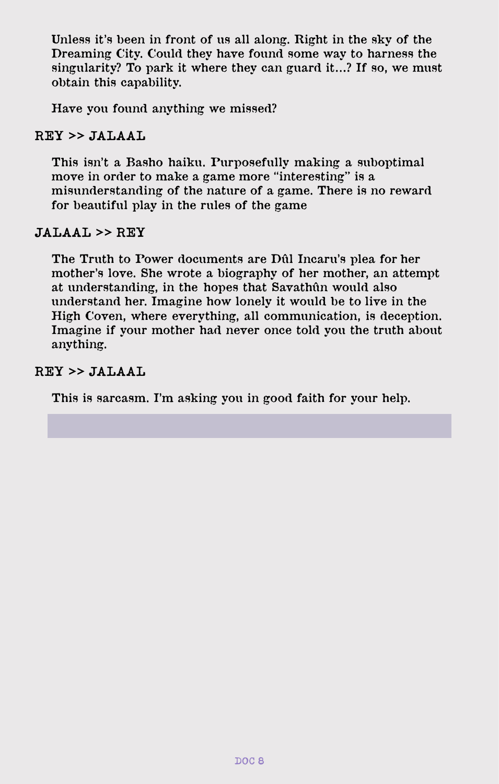**Unless it's been in front of us all along. Right in the sky of the Dreaming City. Could they have found some way to harness the singularity? To park it where they can guard it…? If so, we must obtain this capability.**

**Have you found anything we missed?**

### **REY** >> **JALAAL**

**This isn't a Basho haiku. Purposefully making a suboptimal move in order to make a game more "interesting" is a misunderstanding of the nature of a game. There is no reward for beautiful play in the rules of the game**

#### **JALAAL** >> **REY**

**The Truth to Power documents are Dûl Incaru's plea for her mother's love. She wrote a biography of her mother, an attempt at understanding, in the hopes that Savathûn would also understand her. Imagine how lonely it would be to live in the High Coven, where everything, all communication, is deception. Imagine if your mother had never once told you the truth about anything.**

### **REY** >> **JALAAL**

**This is sarcasm. I'm asking you in good faith for your help.**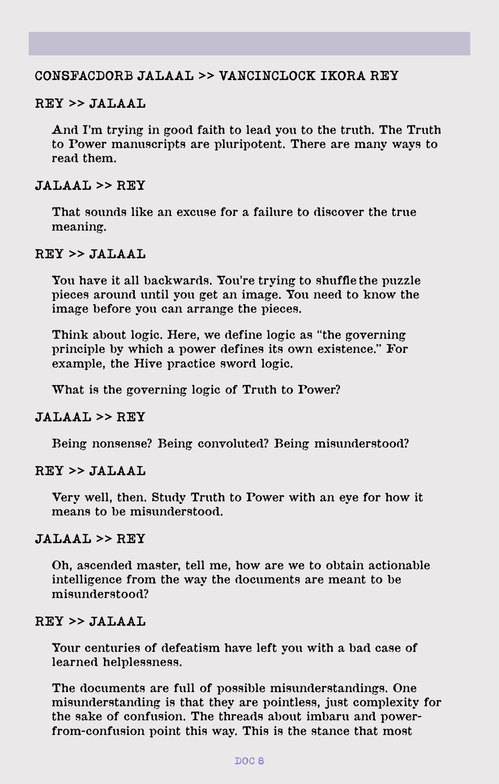### **CONSFACDORB JALAAL** >> **VANCINCLOCK IKORA REY**

#### **REY** >> **JALAAL**

**And I'm trying in good faith to lead you to the truth. The Truth to Power manuscripts are pluripotent. There are many ways to read them.**

#### **JALAAL** >> **REY**

**That sounds like an excuse for a failure to discover the true meaning.**

#### **REY** >> **JALAAL**

**You have it all backwards. You're trying to shuffle the puzzle pieces around until you get an image. You need to know the image before you can arrange the pieces.** 

**Think about logic. Here, we define logic as "the governing principle by which a power defines its own existence." For example, the Hive practice sword logic.**

**What is the governing logic of Truth to Power?**

#### **JALAAL** >> **REY**

**Being nonsense? Being convoluted? Being misunderstood?**

### **REY** >> **JALAAL**

**Very well, then. Study Truth to Power with an eye for how it means to be misunderstood.**

### **JALAAL** >> **REY**

**Oh, ascended master, tell me, how are we to obtain actionable intelligence from the way the documents are meant to be misunderstood?**

#### **REY** >> **JALAAL**

**Your centuries of defeatism have left you with a bad case of learned helplessness.**

**The documents are full of possible misunderstandings. One misunderstanding is that they are pointless, just complexity for the sake of confusion. The threads about imbaru and powerfrom-confusion point this way. This is the stance that most**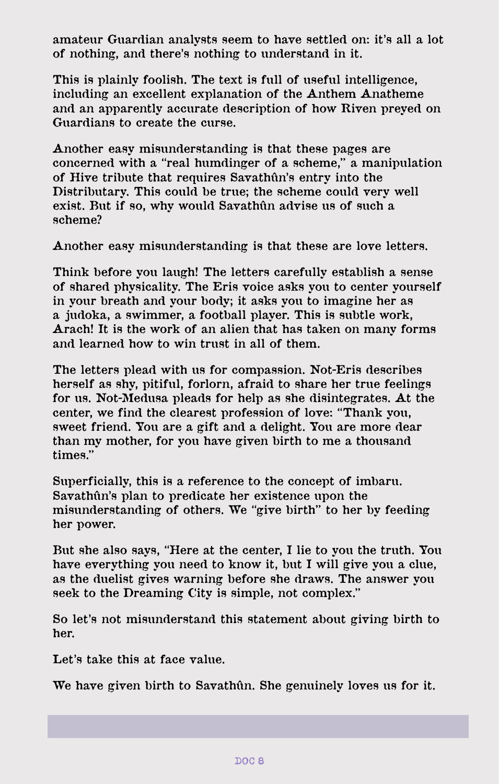**amateur Guardian analysts seem to have settled on: it's all a lot of nothing, and there's nothing to understand in it.**

**This is plainly foolish. The text is full of useful intelligence, including an excellent explanation of the Anthem Anatheme and an apparently accurate description of how Riven preyed on Guardians to create the curse.**

**Another easy misunderstanding is that these pages are concerned with a "real humdinger of a scheme," a manipulation of Hive tribute that requires Savathûn's entry into the Distributary. This could be true; the scheme could very well exist. But if so, why would Savathûn advise us of such a scheme?**

**Another easy misunderstanding is that these are love letters.**

**Think before you laugh! The letters carefully establish a sense of shared physicality. The Eris voice asks you to center yourself in your breath and your body; it asks you to imagine her as a judoka, a swimmer, a football player. This is subtle work, Arach! It is the work of an alien that has taken on many forms and learned how to win trust in all of them.**

**The letters plead with us for compassion. Not-Eris describes herself as shy, pitiful, forlorn, afraid to share her true feelings for us. Not-Medusa pleads for help as she disintegrates. At the center, we find the clearest profession of love: "Thank you, sweet friend. You are a gift and a delight. You are more dear than my mother, for you have given birth to me a thousand times."**

**Superficially, this is a reference to the concept of imbaru. Savathûn's plan to predicate her existence upon the misunderstanding of others. We "give birth" to her by feeding her power.**

**But she also says, "Here at the center, I lie to you the truth. You have everything you need to know it, but I will give you a clue, as the duelist gives warning before she draws. The answer you seek to the Dreaming City is simple, not complex."**

**So let's not misunderstand this statement about giving birth to her.**

**Let's take this at face value.**

**We have given birth to Savathûn. She genuinely loves us for it.**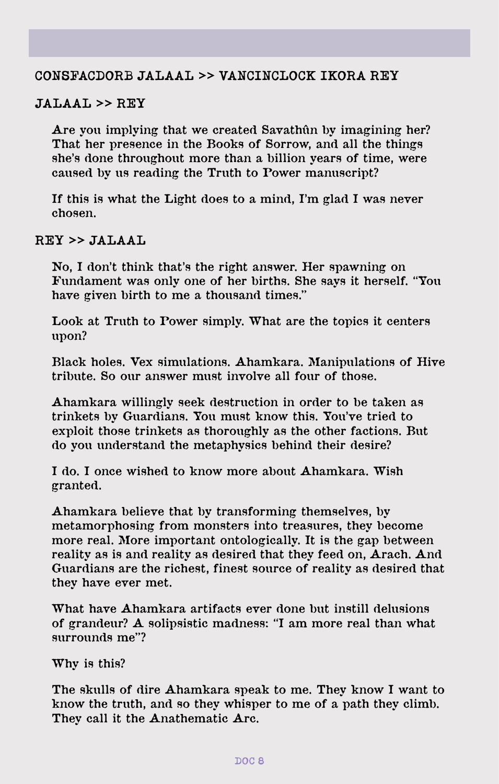### **CONSFACDORB JALAAL** >> **VANCINCLOCK IKORA REY**

#### **JALAAL** >> **REY**

**Are you implying that we created Savathûn by imagining her? That her presence in the Books of Sorrow, and all the things she's done throughout more than a billion years of time, were caused by us reading the Truth to Power manuscript?**

**If this is what the Light does to a mind, I'm glad I was never chosen.**

### **REY** >> **JALAAL**

**No, I don't think that's the right answer. Her spawning on Fundament was only one of her births. She says it herself. "You have given birth to me a thousand times."**

**Look at Truth to Power simply. What are the topics it centers upon?**

**Black holes. Vex simulations. Ahamkara. Manipulations of Hive tribute. So our answer must involve all four of those.**

**Ahamkara willingly seek destruction in order to be taken as trinkets by Guardians. You must know this. You've tried to exploit those trinkets as thoroughly as the other factions. But do you understand the metaphysics behind their desire?**

**I do. I once wished to know more about Ahamkara. Wish granted.**

**Ahamkara believe that by transforming themselves, by metamorphosing from monsters into treasures, they become more real. More important ontologically. It is the gap between reality as is and reality as desired that they feed on, Arach. And Guardians are the richest, finest source of reality as desired that they have ever met.**

**What have Ahamkara artifacts ever done but instill delusions of grandeur? A solipsistic madness: "I am more real than what surrounds me"?**

**Why is this?**

**The skulls of dire Ahamkara speak to me. They know I want to know the truth, and so they whisper to me of a path they climb. They call it the Anathematic Arc.**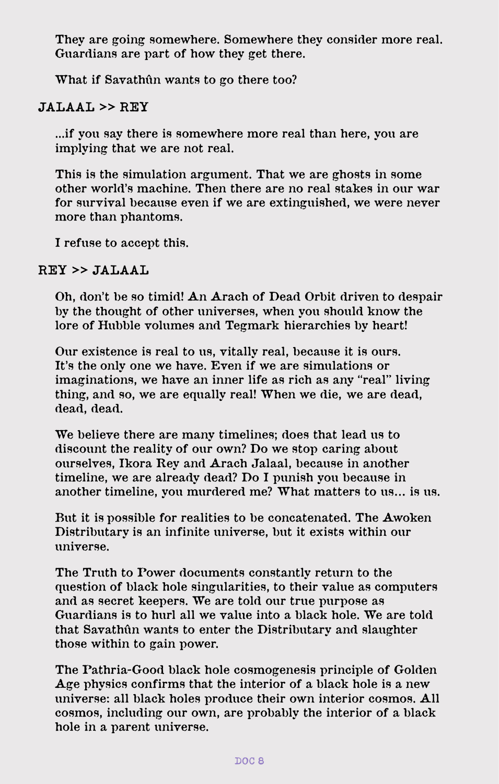**They are going somewhere. Somewhere they consider more real. Guardians are part of how they get there.**

**What if Savathûn wants to go there too?**

## **JALAAL** >> **REY**

**...if you say there is somewhere more real than here, you are implying that we are not real.**

**This is the simulation argument. That we are ghosts in some other world's machine. Then there are no real stakes in our war for survival because even if we are extinguished, we were never more than phantoms.**

**I refuse to accept this.**

### **REY** >> **JALAAL**

**Oh, don't be so timid! An Arach of Dead Orbit driven to despair by the thought of other universes, when you should know the lore of Hubble volumes and Tegmark hierarchies by heart!**

**Our existence is real to us, vitally real, because it is ours. It's the only one we have. Even if we are simulations or imaginations, we have an inner life as rich as any "real" living thing, and so, we are equally real! When we die, we are dead, dead, dead.**

**We believe there are many timelines; does that lead us to discount the reality of our own? Do we stop caring about ourselves, Ikora Rey and Arach Jalaal, because in another timeline, we are already dead? Do I punish you because in another timeline, you murdered me? What matters to us… is us.**

**But it is possible for realities to be concatenated. The Awoken Distributary is an infinite universe, but it exists within our universe.**

**The Truth to Power documents constantly return to the question of black hole singularities, to their value as computers and as secret keepers. We are told our true purpose as Guardians is to hurl all we value into a black hole. We are told that Savathûn wants to enter the Distributary and slaughter those within to gain power.**

**The Pathria-Good black hole cosmogenesis principle of Golden Age physics confirms that the interior of a black hole is a new universe: all black holes produce their own interior cosmos. All cosmos, including our own, are probably the interior of a black hole in a parent universe.**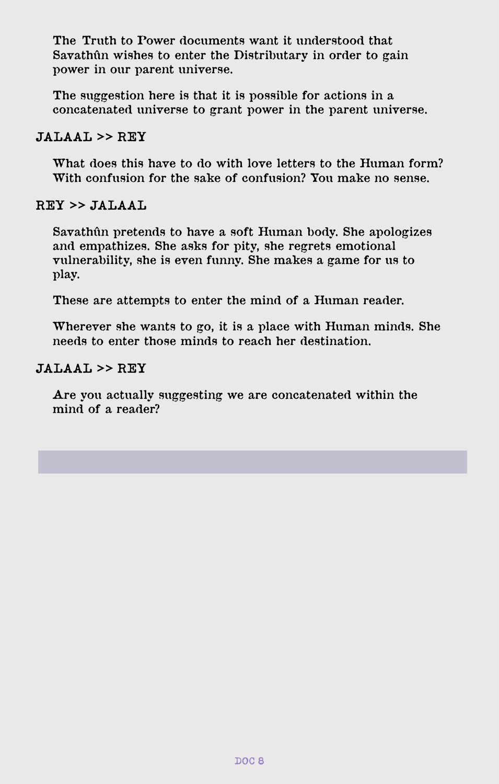**The Truth to Power documents want it understood that Savathûn wishes to enter the Distributary in order to gain power in our parent universe.**

**The suggestion here is that it is possible for actions in a concatenated universe to grant power in the parent universe.** 

### **JALAAL** >> **REY**

**What does this have to do with love letters to the Human form? With confusion for the sake of confusion? You make no sense.**

### **REY** >> **JALAAL**

**Savathûn pretends to have a soft Human body. She apologizes and empathizes. She asks for pity, she regrets emotional vulnerability, she is even funny. She makes a game for us to play.** 

**These are attempts to enter the mind of a Human reader.**

**Wherever she wants to go, it is a place with Human minds. She needs to enter those minds to reach her destination.**

### **JALAAL** >> **REY**

**Are you actually suggesting we are concatenated within the mind of a reader?**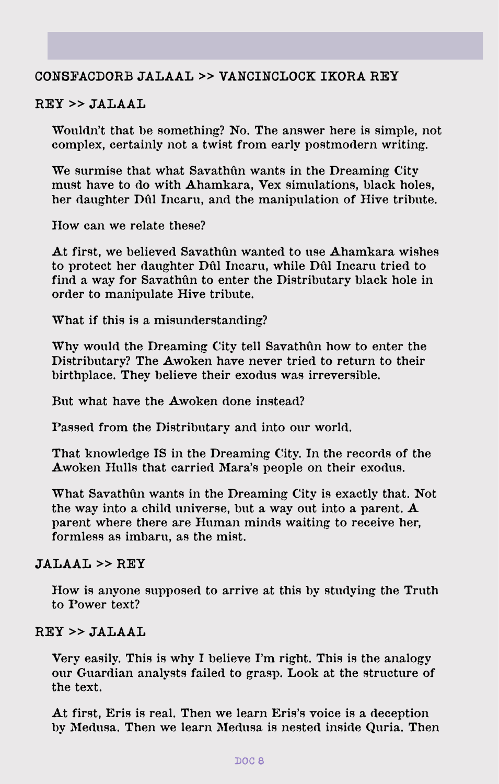### **CONSFACDORB JALAAL** >> **VANCINCLOCK IKORA REY**

#### **REY** >> **JALAAL**

**Wouldn't that be something? No. The answer here is simple, not complex, certainly not a twist from early postmodern writing.**

**We surmise that what Savathûn wants in the Dreaming City must have to do with Ahamkara, Vex simulations, black holes, her daughter Dûl Incaru, and the manipulation of Hive tribute.**

**How can we relate these?**

**At first, we believed Savathûn wanted to use Ahamkara wishes to protect her daughter Dûl Incaru, while Dûl Incaru tried to find a way for Savathûn to enter the Distributary black hole in order to manipulate Hive tribute.**

**What if this is a misunderstanding?**

**Why would the Dreaming City tell Savathûn how to enter the Distributary? The Awoken have never tried to return to their birthplace. They believe their exodus was irreversible.**

**But what have the Awoken done instead?**

**Passed from the Distributary and into our world.**

**That knowledge IS in the Dreaming City. In the records of the Awoken Hulls that carried Mara's people on their exodus.**

**What Savathûn wants in the Dreaming City is exactly that. Not the way into a child universe, but a way out into a parent. A parent where there are Human minds waiting to receive her, formless as imbaru, as the mist.**

#### **JALAAL** >> **REY**

**How is anyone supposed to arrive at this by studying the Truth to Power text?**

### **REY** >> **JALAAL**

**Very easily. This is why I believe I'm right. This is the analogy our Guardian analysts failed to grasp. Look at the structure of the text.**

**At first, Eris is real. Then we learn Eris's voice is a deception by Medusa. Then we learn Medusa is nested inside Quria. Then**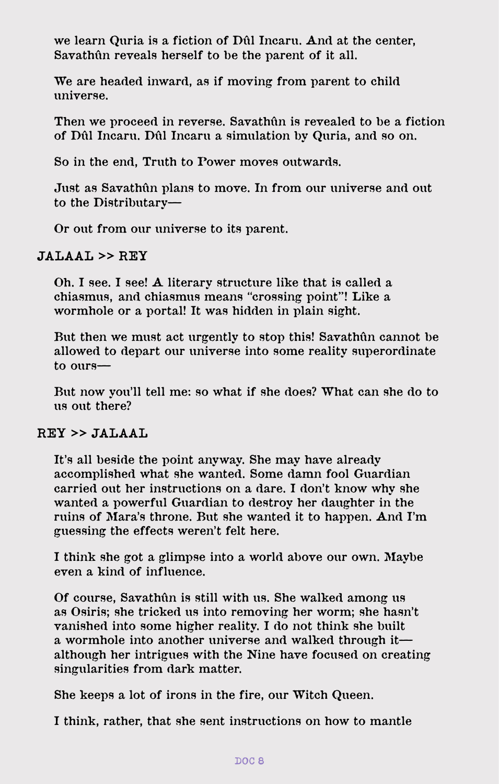**we learn Quria is a fiction of Dûl Incaru. And at the center, Savathûn reveals herself to be the parent of it all.**

**We are headed inward, as if moving from parent to child universe.**

**Then we proceed in reverse. Savathûn is revealed to be a fiction of Dûl Incaru. Dûl Incaru a simulation by Quria, and so on.**

**So in the end, Truth to Power moves outwards.**

**Just as Savathûn plans to move. In from our universe and out to the Distributary—**

**Or out from our universe to its parent.**

### **JALAAL** >> **REY**

**Oh. I see. I see! A literary structure like that is called a chiasmus, and chiasmus means "crossing point"! Like a wormhole or a portal! It was hidden in plain sight.**

**But then we must act urgently to stop this! Savathûn cannot be allowed to depart our universe into some reality superordinate to ours—**

**But now you'll tell me: so what if she does? What can she do to us out there?**

## **REY** >> **JALAAL**

**It's all beside the point anyway. She may have already accomplished what she wanted. Some damn fool Guardian carried out her instructions on a dare. I don't know why she wanted a powerful Guardian to destroy her daughter in the ruins of Mara's throne. But she wanted it to happen. And I'm guessing the effects weren't felt here.**

**I think she got a glimpse into a world above our own. Maybe even a kind of influence.**

**Of course, Savathûn is still with us. She walked among us as Osiris; she tricked us into removing her worm; she hasn't vanished into some higher reality. I do not think she built a wormhole into another universe and walked through it although her intrigues with the Nine have focused on creating singularities from dark matter.**

**She keeps a lot of irons in the fire, our Witch Queen.**

**I think, rather, that she sent instructions on how to mantle**